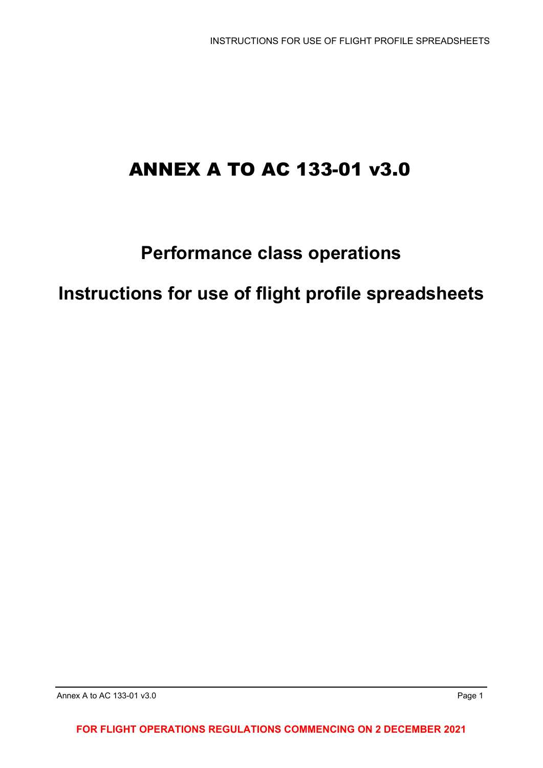# ANNEX A TO AC 133-01 v3.0

## **Performance class operations**

**Instructions for use of flight profile spreadsheets**

**FOR FLIGHT OPERATIONS REGULATIONS COMMENCING ON 2 DECEMBER 2021**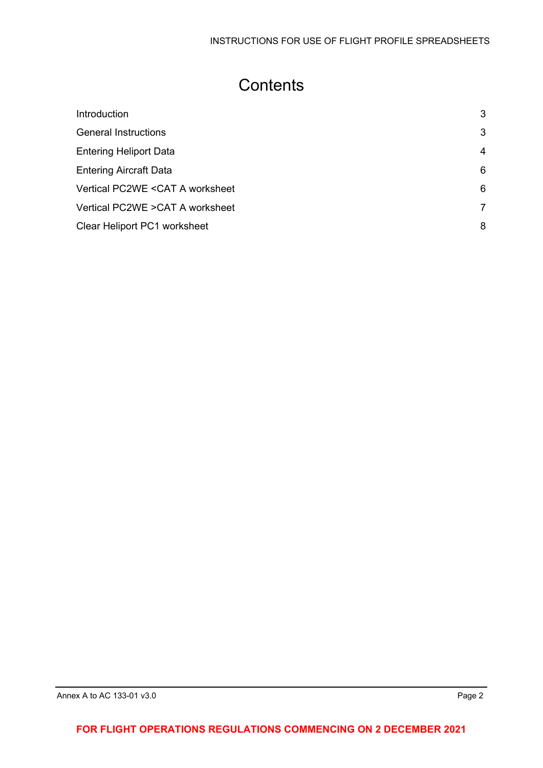## **Contents**

| Introduction                     | 3 |
|----------------------------------|---|
| <b>General Instructions</b>      | 3 |
| <b>Entering Heliport Data</b>    | 4 |
| <b>Entering Aircraft Data</b>    | 6 |
| Vertical PC2WE < CAT A worksheet | 6 |
| Vertical PC2WE > CAT A worksheet | 7 |
| Clear Heliport PC1 worksheet     | 8 |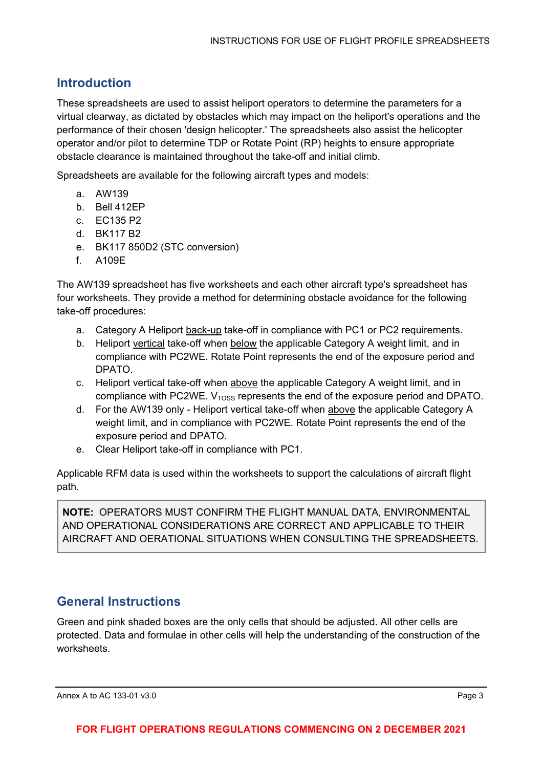## <span id="page-2-0"></span>**Introduction**

These spreadsheets are used to assist heliport operators to determine the parameters for a virtual clearway, as dictated by obstacles which may impact on the heliport's operations and the performance of their chosen 'design helicopter.' The spreadsheets also assist the helicopter operator and/or pilot to determine TDP or Rotate Point (RP) heights to ensure appropriate obstacle clearance is maintained throughout the take-off and initial climb.

Spreadsheets are available for the following aircraft types and models:

- a. AW139
- b. Bell 412EP
- c. EC135 P2
- d. BK117 B2
- e. BK117 850D2 (STC conversion)
- f. A109E

The AW139 spreadsheet has five worksheets and each other aircraft type's spreadsheet has four worksheets. They provide a method for determining obstacle avoidance for the following take-off procedures:

- a. Category A Heliport back-up take-off in compliance with PC1 or PC2 requirements.
- b. Heliport vertical take-off when below the applicable Category A weight limit, and in compliance with PC2WE. Rotate Point represents the end of the exposure period and DPATO.
- c. Heliport vertical take-off when above the applicable Category A weight limit, and in compliance with PC2WE.  $V<sub>Toss</sub>$  represents the end of the exposure period and DPATO.
- d. For the AW139 only Heliport vertical take-off when above the applicable Category A weight limit, and in compliance with PC2WE. Rotate Point represents the end of the exposure period and DPATO.
- e. Clear Heliport take-off in compliance with PC1.

Applicable RFM data is used within the worksheets to support the calculations of aircraft flight path.

**NOTE:** OPERATORS MUST CONFIRM THE FLIGHT MANUAL DATA, ENVIRONMENTAL AND OPERATIONAL CONSIDERATIONS ARE CORRECT AND APPLICABLE TO THEIR AIRCRAFT AND OERATIONAL SITUATIONS WHEN CONSULTING THE SPREADSHEETS.

### <span id="page-2-1"></span>**General Instructions**

Green and pink shaded boxes are the only cells that should be adjusted. All other cells are protected. Data and formulae in other cells will help the understanding of the construction of the worksheets.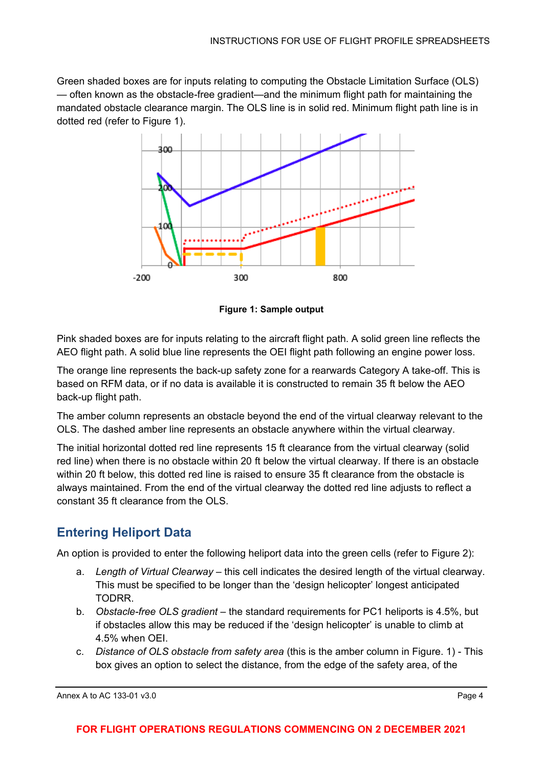Green shaded boxes are for inputs relating to computing the Obstacle Limitation Surface (OLS) — often known as the obstacle-free gradient—and the minimum flight path for maintaining the mandated obstacle clearance margin. The OLS line is in solid red. Minimum flight path line is in dotted red (refer to Figure 1).



**Figure 1: Sample output**

Pink shaded boxes are for inputs relating to the aircraft flight path. A solid green line reflects the AEO flight path. A solid blue line represents the OEI flight path following an engine power loss.

The orange line represents the back-up safety zone for a rearwards Category A take-off. This is based on RFM data, or if no data is available it is constructed to remain 35 ft below the AEO back-up flight path.

The amber column represents an obstacle beyond the end of the virtual clearway relevant to the OLS. The dashed amber line represents an obstacle anywhere within the virtual clearway.

The initial horizontal dotted red line represents 15 ft clearance from the virtual clearway (solid red line) when there is no obstacle within 20 ft below the virtual clearway. If there is an obstacle within 20 ft below, this dotted red line is raised to ensure 35 ft clearance from the obstacle is always maintained. From the end of the virtual clearway the dotted red line adjusts to reflect a constant 35 ft clearance from the OLS.

## <span id="page-3-0"></span>**Entering Heliport Data**

An option is provided to enter the following heliport data into the green cells (refer to Figure 2):

- a. *Length of Virtual Clearway* this cell indicates the desired length of the virtual clearway. This must be specified to be longer than the 'design helicopter' longest anticipated TODRR.
- b. *Obstacle-free OLS gradient*  the standard requirements for PC1 heliports is 4.5%, but if obstacles allow this may be reduced if the 'design helicopter' is unable to climb at 4.5% when OEI.
- c. *Distance of OLS obstacle from safety area* (this is the amber column in Figure. 1) This box gives an option to select the distance, from the edge of the safety area, of the

Annex A to AC 133-01 v3.0 **Page 4**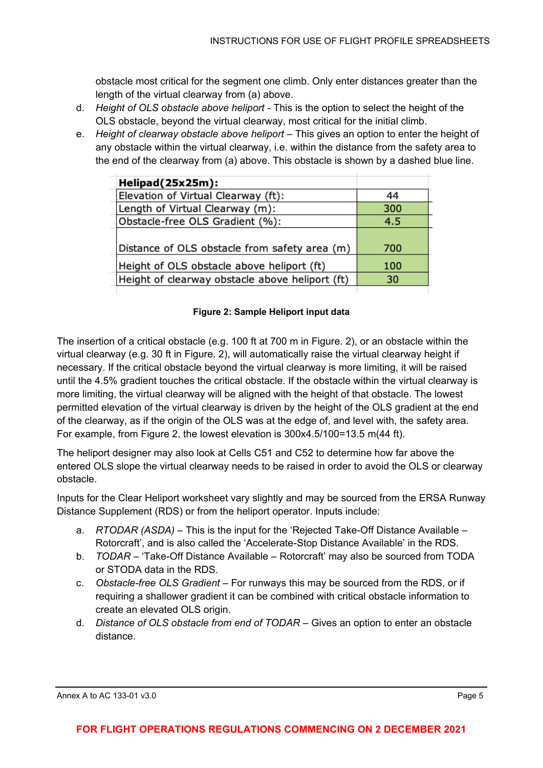obstacle most critical for the segment one climb. Only enter distances greater than the length of the virtual clearway from (a) above.

- d. *Height of OLS obstacle above heliport*  This is the option to select the height of the OLS obstacle, beyond the virtual clearway, most critical for the initial climb.
- e. *Height of clearway obstacle above heliport* This gives an option to enter the height of any obstacle within the virtual clearway, i.e. within the distance from the safety area to the end of the clearway from (a) above. This obstacle is shown by a dashed blue line.

| Helipad(25x25m):                                |     |
|-------------------------------------------------|-----|
| Elevation of Virtual Clearway (ft):             | 44  |
| Length of Virtual Clearway (m):                 | 300 |
| Obstacle-free OLS Gradient (%):                 | 4.5 |
|                                                 |     |
| Distance of OLS obstacle from safety area (m)   | 700 |
| Height of OLS obstacle above heliport (ft)      | 100 |
| Height of clearway obstacle above heliport (ft) | 30  |
|                                                 |     |

#### **Figure 2: Sample Heliport input data**

The insertion of a critical obstacle (e.g. 100 ft at 700 m in Figure. 2), or an obstacle within the virtual clearway (e.g. 30 ft in Figure. 2), will automatically raise the virtual clearway height if necessary. If the critical obstacle beyond the virtual clearway is more limiting, it will be raised until the 4.5% gradient touches the critical obstacle. If the obstacle within the virtual clearway is more limiting, the virtual clearway will be aligned with the height of that obstacle. The lowest permitted elevation of the virtual clearway is driven by the height of the OLS gradient at the end of the clearway, as if the origin of the OLS was at the edge of, and level with, the safety area. For example, from Figure 2, the lowest elevation is 300x4.5/100=13.5 m(44 ft).

The heliport designer may also look at Cells C51 and C52 to determine how far above the entered OLS slope the virtual clearway needs to be raised in order to avoid the OLS or clearway obstacle.

Inputs for the Clear Heliport worksheet vary slightly and may be sourced from the ERSA Runway Distance Supplement (RDS) or from the heliport operator. Inputs include:

- a. *RTODAR (ASDA)* This is the input for the 'Rejected Take-Off Distance Available Rotorcraft', and is also called the 'Accelerate-Stop Distance Available' in the RDS.
- b. *TODAR* 'Take-Off Distance Available Rotorcraft' may also be sourced from TODA or STODA data in the RDS.
- c. *Obstacle-free OLS Gradient*  For runways this may be sourced from the RDS, or if requiring a shallower gradient it can be combined with critical obstacle information to create an elevated OLS origin.
- d. *Distance of OLS obstacle from end of TODAR* Gives an option to enter an obstacle distance.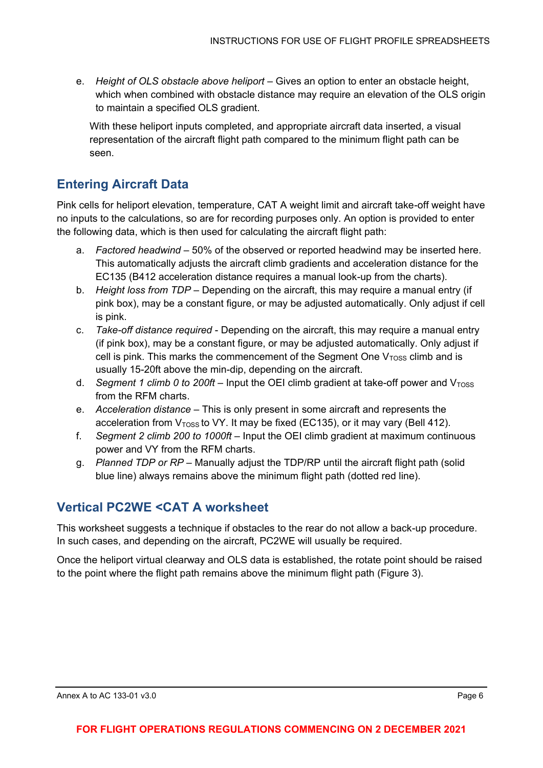e. *Height of OLS obstacle above heliport* – Gives an option to enter an obstacle height, which when combined with obstacle distance may require an elevation of the OLS origin to maintain a specified OLS gradient.

With these heliport inputs completed, and appropriate aircraft data inserted, a visual representation of the aircraft flight path compared to the minimum flight path can be seen.

#### <span id="page-5-0"></span>**Entering Aircraft Data**

Pink cells for heliport elevation, temperature, CAT A weight limit and aircraft take-off weight have no inputs to the calculations, so are for recording purposes only. An option is provided to enter the following data, which is then used for calculating the aircraft flight path:

- a. *Factored headwind* 50% of the observed or reported headwind may be inserted here. This automatically adjusts the aircraft climb gradients and acceleration distance for the EC135 (B412 acceleration distance requires a manual look-up from the charts).
- b. *Height loss from TDP* Depending on the aircraft, this may require a manual entry (if pink box), may be a constant figure, or may be adjusted automatically. Only adjust if cell is pink.
- c. *Take-off distance required* Depending on the aircraft, this may require a manual entry (if pink box), may be a constant figure, or may be adjusted automatically. Only adjust if cell is pink. This marks the commencement of the Segment One  $V<sub>TOSS</sub>$  climb and is usually 15-20ft above the min-dip, depending on the aircraft.
- d. *Segment 1 climb 0 to 200ft* Input the OEI climb gradient at take-off power and  $V<sub>Toss</sub>$ from the RFM charts.
- e. *Acceleration distance* This is only present in some aircraft and represents the acceleration from  $V<sub>TOSS</sub>$  to VY. It may be fixed (EC135), or it may vary (Bell 412).
- f. *Segment 2 climb 200 to 1000ft*  Input the OEI climb gradient at maximum continuous power and VY from the RFM charts.
- g. *Planned TDP or RP* Manually adjust the TDP/RP until the aircraft flight path (solid blue line) always remains above the minimum flight path (dotted red line).

### <span id="page-5-1"></span>**Vertical PC2WE <CAT A worksheet**

This worksheet suggests a technique if obstacles to the rear do not allow a back-up procedure. In such cases, and depending on the aircraft, PC2WE will usually be required.

Once the heliport virtual clearway and OLS data is established, the rotate point should be raised to the point where the flight path remains above the minimum flight path (Figure 3).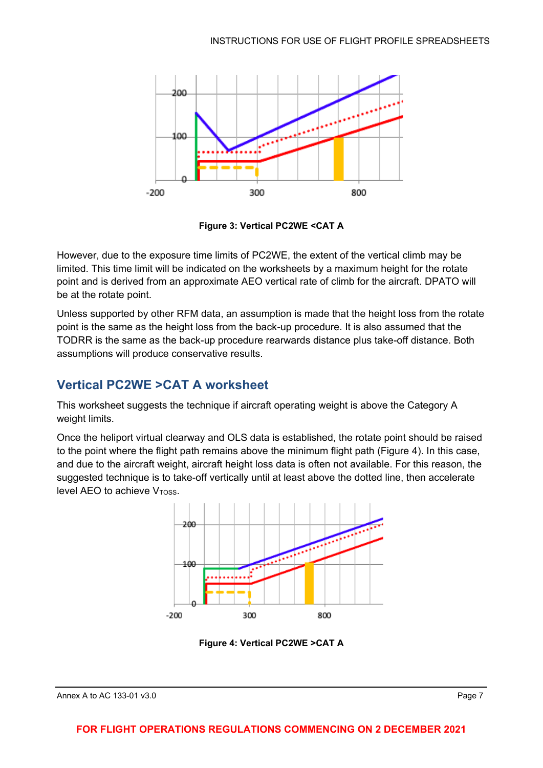

**Figure 3: Vertical PC2WE <CAT A**

However, due to the exposure time limits of PC2WE, the extent of the vertical climb may be limited. This time limit will be indicated on the worksheets by a maximum height for the rotate point and is derived from an approximate AEO vertical rate of climb for the aircraft. DPATO will be at the rotate point.

Unless supported by other RFM data, an assumption is made that the height loss from the rotate point is the same as the height loss from the back-up procedure. It is also assumed that the TODRR is the same as the back-up procedure rearwards distance plus take-off distance. Both assumptions will produce conservative results.

### <span id="page-6-0"></span>**Vertical PC2WE >CAT A worksheet**

This worksheet suggests the technique if aircraft operating weight is above the Category A weight limits.

Once the heliport virtual clearway and OLS data is established, the rotate point should be raised to the point where the flight path remains above the minimum flight path (Figure 4). In this case, and due to the aircraft weight, aircraft height loss data is often not available. For this reason, the suggested technique is to take-off vertically until at least above the dotted line, then accelerate level AEO to achieve  $V<sub>Toss</sub>$ .



**Figure 4: Vertical PC2WE >CAT A**

#### **FOR FLIGHT OPERATIONS REGULATIONS COMMENCING ON 2 DECEMBER 2021**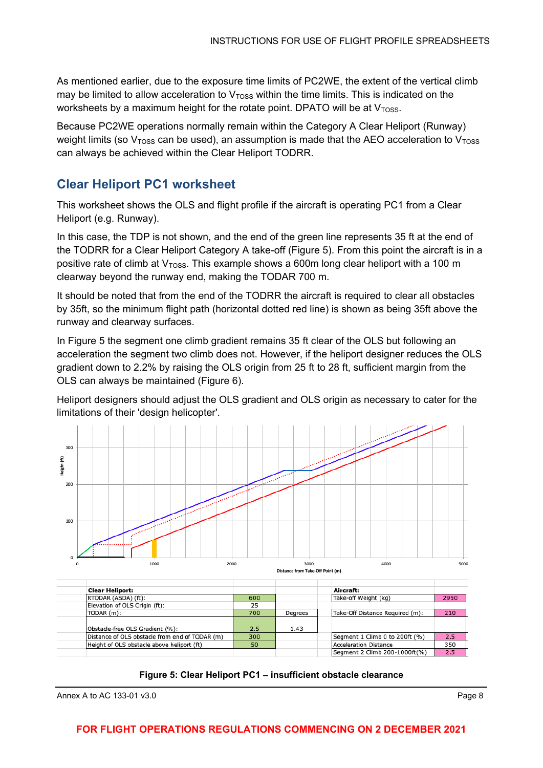As mentioned earlier, due to the exposure time limits of PC2WE, the extent of the vertical climb may be limited to allow acceleration to  $V<sub>TOS</sub>$  within the time limits. This is indicated on the worksheets by a maximum height for the rotate point. DPATO will be at  $V<sub>TOSS</sub>$ .

Because PC2WE operations normally remain within the Category A Clear Heliport (Runway) weight limits (so  $V<sub>Toss</sub>$  can be used), an assumption is made that the AEO acceleration to  $V<sub>Toss</sub>$ can always be achieved within the Clear Heliport TODRR.

### <span id="page-7-0"></span>**Clear Heliport PC1 worksheet**

This worksheet shows the OLS and flight profile if the aircraft is operating PC1 from a Clear Heliport (e.g. Runway).

In this case, the TDP is not shown, and the end of the green line represents 35 ft at the end of the TODRR for a Clear Heliport Category A take-off (Figure 5). From this point the aircraft is in a positive rate of climb at  $V<sub>TOSS</sub>$ . This example shows a 600m long clear heliport with a 100 m clearway beyond the runway end, making the TODAR 700 m.

It should be noted that from the end of the TODRR the aircraft is required to clear all obstacles by 35ft, so the minimum flight path (horizontal dotted red line) is shown as being 35ft above the runway and clearway surfaces.

In Figure 5 the segment one climb gradient remains 35 ft clear of the OLS but following an acceleration the segment two climb does not. However, if the heliport designer reduces the OLS gradient down to 2.2% by raising the OLS origin from 25 ft to 28 ft, sufficient margin from the OLS can always be maintained (Figure 6).

Heliport designers should adjust the OLS gradient and OLS origin as necessary to cater for the limitations of their 'design helicopter'.





Annex A to AC 133-01 v3.0 **Page 8** 

#### **FOR FLIGHT OPERATIONS REGULATIONS COMMENCING ON 2 DECEMBER 2021**